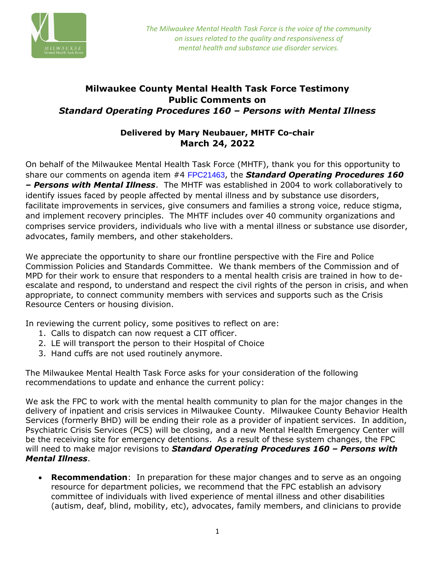

## **Milwaukee County Mental Health Task Force Testimony Public Comments on**  *Standard Operating Procedures 160 – Persons with Mental Illness*

## **Delivered by Mary Neubauer, MHTF Co-chair March 24, 2022**

On behalf of the Milwaukee Mental Health Task Force (MHTF), thank you for this opportunity to share our comments on agenda item #4 FPC21463, the *Standard Operating Procedures 160 – Persons with Mental Illness*. The MHTF was established in 2004 to work collaboratively to identify issues faced by people affected by mental illness and by substance use disorders, facilitate improvements in services, give consumers and families a strong voice, reduce stigma, and implement recovery principles. The MHTF includes over 40 community organizations and comprises service providers, individuals who live with a mental illness or substance use disorder, advocates, family members, and other stakeholders.

We appreciate the opportunity to share our frontline perspective with the Fire and Police Commission Policies and Standards Committee. We thank members of the Commission and of MPD for their work to ensure that responders to a mental health crisis are trained in how to deescalate and respond, to understand and respect the civil rights of the person in crisis, and when appropriate, to connect community members with services and supports such as the Crisis Resource Centers or housing division.

In reviewing the current policy, some positives to reflect on are:

- 1. Calls to dispatch can now request a CIT officer.
- 2. LE will transport the person to their Hospital of Choice
- 3. Hand cuffs are not used routinely anymore.

The Milwaukee Mental Health Task Force asks for your consideration of the following recommendations to update and enhance the current policy:

We ask the FPC to work with the mental health community to plan for the major changes in the delivery of inpatient and crisis services in Milwaukee County. Milwaukee County Behavior Health Services (formerly BHD) will be ending their role as a provider of inpatient services. In addition, Psychiatric Crisis Services (PCS) will be closing, and a new Mental Health Emergency Center will be the receiving site for emergency detentions. As a result of these system changes, the FPC will need to make major revisions to *Standard Operating Procedures 160 – Persons with Mental Illness*.

• **Recommendation**: In preparation for these major changes and to serve as an ongoing resource for department policies, we recommend that the FPC establish an advisory committee of individuals with lived experience of mental illness and other disabilities (autism, deaf, blind, mobility, etc), advocates, family members, and clinicians to provide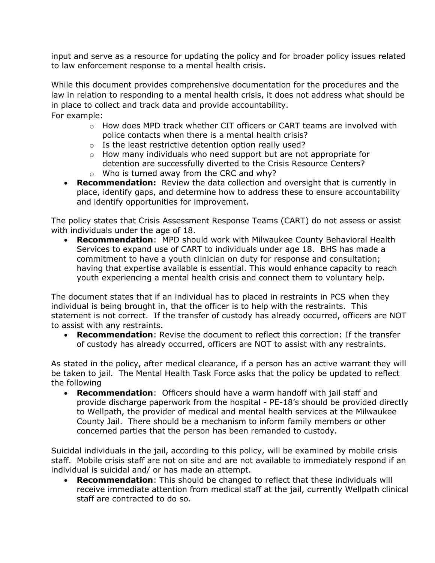input and serve as a resource for updating the policy and for broader policy issues related to law enforcement response to a mental health crisis.

While this document provides comprehensive documentation for the procedures and the law in relation to responding to a mental health crisis, it does not address what should be in place to collect and track data and provide accountability. For example:

- o How does MPD track whether CIT officers or CART teams are involved with police contacts when there is a mental health crisis?
- o Is the least restrictive detention option really used?
- $\circ$  How many individuals who need support but are not appropriate for detention are successfully diverted to the Crisis Resource Centers?
- o Who is turned away from the CRC and why?
- **Recommendation:** Review the data collection and oversight that is currently in place, identify gaps, and determine how to address these to ensure accountability and identify opportunities for improvement.

The policy states that Crisis Assessment Response Teams (CART) do not assess or assist with individuals under the age of 18.

• **Recommendation**: MPD should work with Milwaukee County Behavioral Health Services to expand use of CART to individuals under age 18. BHS has made a commitment to have a youth clinician on duty for response and consultation; having that expertise available is essential. This would enhance capacity to reach youth experiencing a mental health crisis and connect them to voluntary help.

The document states that if an individual has to placed in restraints in PCS when they individual is being brought in, that the officer is to help with the restraints. This statement is not correct. If the transfer of custody has already occurred, officers are NOT to assist with any restraints.

• **Recommendation**: Revise the document to reflect this correction: If the transfer of custody has already occurred, officers are NOT to assist with any restraints.

As stated in the policy, after medical clearance, if a person has an active warrant they will be taken to jail. The Mental Health Task Force asks that the policy be updated to reflect the following

• **Recommendation**: Officers should have a warm handoff with jail staff and provide discharge paperwork from the hospital - PE-18's should be provided directly to Wellpath, the provider of medical and mental health services at the Milwaukee County Jail. There should be a mechanism to inform family members or other concerned parties that the person has been remanded to custody.

Suicidal individuals in the jail, according to this policy, will be examined by mobile crisis staff. Mobile crisis staff are not on site and are not available to immediately respond if an individual is suicidal and/ or has made an attempt.

• **Recommendation**: This should be changed to reflect that these individuals will receive immediate attention from medical staff at the jail, currently Wellpath clinical staff are contracted to do so.